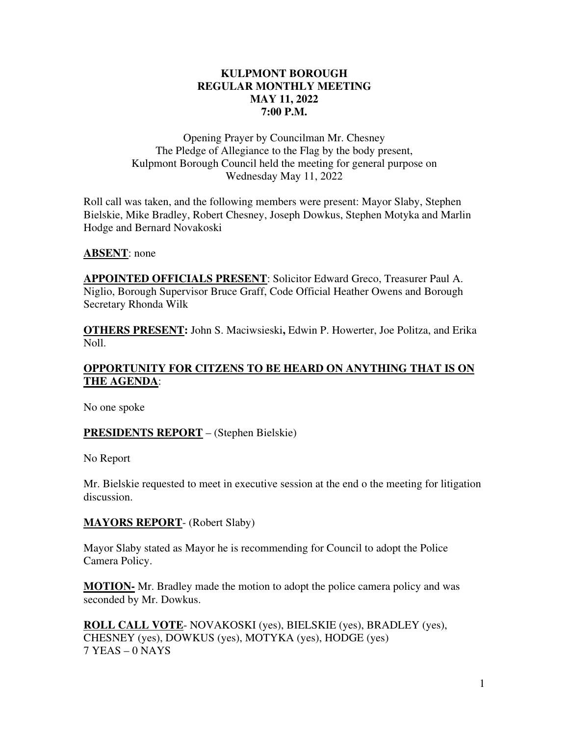### **KULPMONT BOROUGH REGULAR MONTHLY MEETING MAY 11, 2022 7:00 P.M.**

Opening Prayer by Councilman Mr. Chesney The Pledge of Allegiance to the Flag by the body present, Kulpmont Borough Council held the meeting for general purpose on Wednesday May 11, 2022

Roll call was taken, and the following members were present: Mayor Slaby, Stephen Bielskie, Mike Bradley, Robert Chesney, Joseph Dowkus, Stephen Motyka and Marlin Hodge and Bernard Novakoski

**ABSENT**: none

**APPOINTED OFFICIALS PRESENT**: Solicitor Edward Greco, Treasurer Paul A. Niglio, Borough Supervisor Bruce Graff, Code Official Heather Owens and Borough Secretary Rhonda Wilk

**OTHERS PRESENT:** John S. Maciwsieski**,** Edwin P. Howerter, Joe Politza, and Erika Noll.

## **OPPORTUNITY FOR CITZENS TO BE HEARD ON ANYTHING THAT IS ON THE AGENDA**:

No one spoke

### **PRESIDENTS REPORT** – (Stephen Bielskie)

No Report

Mr. Bielskie requested to meet in executive session at the end o the meeting for litigation discussion.

#### **MAYORS REPORT**- (Robert Slaby)

Mayor Slaby stated as Mayor he is recommending for Council to adopt the Police Camera Policy.

**MOTION-** Mr. Bradley made the motion to adopt the police camera policy and was seconded by Mr. Dowkus.

**ROLL CALL VOTE**- NOVAKOSKI (yes), BIELSKIE (yes), BRADLEY (yes), CHESNEY (yes), DOWKUS (yes), MOTYKA (yes), HODGE (yes) 7 YEAS – 0 NAYS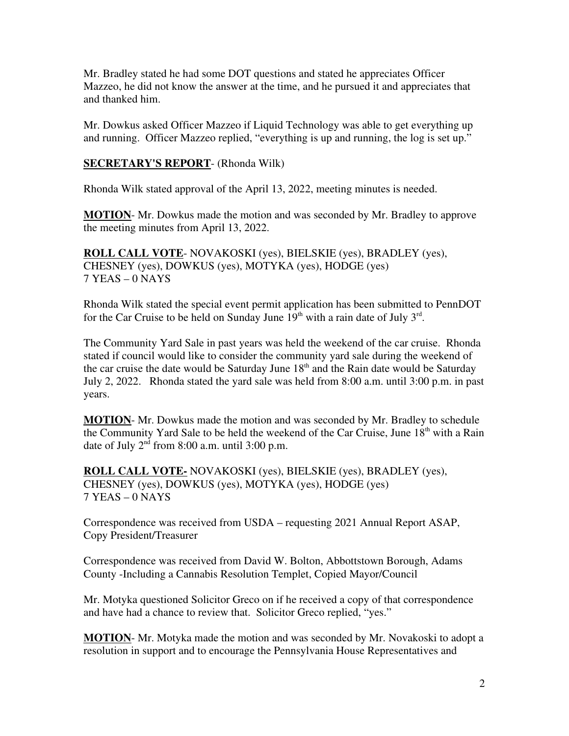Mr. Bradley stated he had some DOT questions and stated he appreciates Officer Mazzeo, he did not know the answer at the time, and he pursued it and appreciates that and thanked him.

Mr. Dowkus asked Officer Mazzeo if Liquid Technology was able to get everything up and running. Officer Mazzeo replied, "everything is up and running, the log is set up."

### **SECRETARY'S REPORT**- (Rhonda Wilk)

Rhonda Wilk stated approval of the April 13, 2022, meeting minutes is needed.

**MOTION**- Mr. Dowkus made the motion and was seconded by Mr. Bradley to approve the meeting minutes from April 13, 2022.

**ROLL CALL VOTE**- NOVAKOSKI (yes), BIELSKIE (yes), BRADLEY (yes), CHESNEY (yes), DOWKUS (yes), MOTYKA (yes), HODGE (yes) 7 YEAS – 0 NAYS

Rhonda Wilk stated the special event permit application has been submitted to PennDOT for the Car Cruise to be held on Sunday June  $19<sup>th</sup>$  with a rain date of July  $3<sup>rd</sup>$ .

The Community Yard Sale in past years was held the weekend of the car cruise. Rhonda stated if council would like to consider the community yard sale during the weekend of the car cruise the date would be Saturday June  $18<sup>th</sup>$  and the Rain date would be Saturday July 2, 2022. Rhonda stated the yard sale was held from 8:00 a.m. until 3:00 p.m. in past years.

**MOTION**- Mr. Dowkus made the motion and was seconded by Mr. Bradley to schedule the Community Yard Sale to be held the weekend of the Car Cruise, June 18<sup>th</sup> with a Rain date of July  $2<sup>nd</sup>$  from 8:00 a.m. until 3:00 p.m.

**ROLL CALL VOTE-** NOVAKOSKI (yes), BIELSKIE (yes), BRADLEY (yes), CHESNEY (yes), DOWKUS (yes), MOTYKA (yes), HODGE (yes) 7 YEAS – 0 NAYS

Correspondence was received from USDA – requesting 2021 Annual Report ASAP, Copy President/Treasurer

Correspondence was received from David W. Bolton, Abbottstown Borough, Adams County -Including a Cannabis Resolution Templet, Copied Mayor/Council

Mr. Motyka questioned Solicitor Greco on if he received a copy of that correspondence and have had a chance to review that. Solicitor Greco replied, "yes."

**MOTION**- Mr. Motyka made the motion and was seconded by Mr. Novakoski to adopt a resolution in support and to encourage the Pennsylvania House Representatives and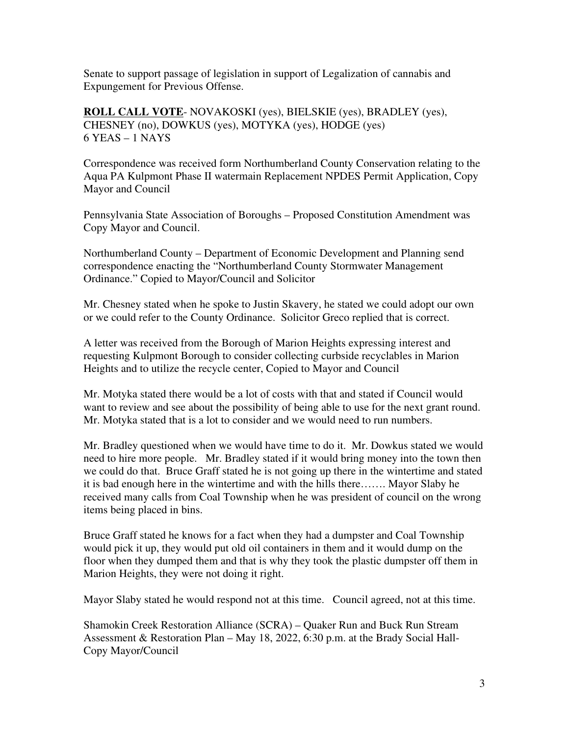Senate to support passage of legislation in support of Legalization of cannabis and Expungement for Previous Offense.

**ROLL CALL VOTE**- NOVAKOSKI (yes), BIELSKIE (yes), BRADLEY (yes), CHESNEY (no), DOWKUS (yes), MOTYKA (yes), HODGE (yes) 6 YEAS – 1 NAYS

Correspondence was received form Northumberland County Conservation relating to the Aqua PA Kulpmont Phase II watermain Replacement NPDES Permit Application, Copy Mayor and Council

Pennsylvania State Association of Boroughs – Proposed Constitution Amendment was Copy Mayor and Council.

Northumberland County – Department of Economic Development and Planning send correspondence enacting the "Northumberland County Stormwater Management Ordinance." Copied to Mayor/Council and Solicitor

Mr. Chesney stated when he spoke to Justin Skavery, he stated we could adopt our own or we could refer to the County Ordinance. Solicitor Greco replied that is correct.

A letter was received from the Borough of Marion Heights expressing interest and requesting Kulpmont Borough to consider collecting curbside recyclables in Marion Heights and to utilize the recycle center, Copied to Mayor and Council

Mr. Motyka stated there would be a lot of costs with that and stated if Council would want to review and see about the possibility of being able to use for the next grant round. Mr. Motyka stated that is a lot to consider and we would need to run numbers.

Mr. Bradley questioned when we would have time to do it. Mr. Dowkus stated we would need to hire more people. Mr. Bradley stated if it would bring money into the town then we could do that. Bruce Graff stated he is not going up there in the wintertime and stated it is bad enough here in the wintertime and with the hills there……. Mayor Slaby he received many calls from Coal Township when he was president of council on the wrong items being placed in bins.

Bruce Graff stated he knows for a fact when they had a dumpster and Coal Township would pick it up, they would put old oil containers in them and it would dump on the floor when they dumped them and that is why they took the plastic dumpster off them in Marion Heights, they were not doing it right.

Mayor Slaby stated he would respond not at this time. Council agreed, not at this time.

Shamokin Creek Restoration Alliance (SCRA) – Quaker Run and Buck Run Stream Assessment & Restoration Plan – May 18, 2022, 6:30 p.m. at the Brady Social Hall-Copy Mayor/Council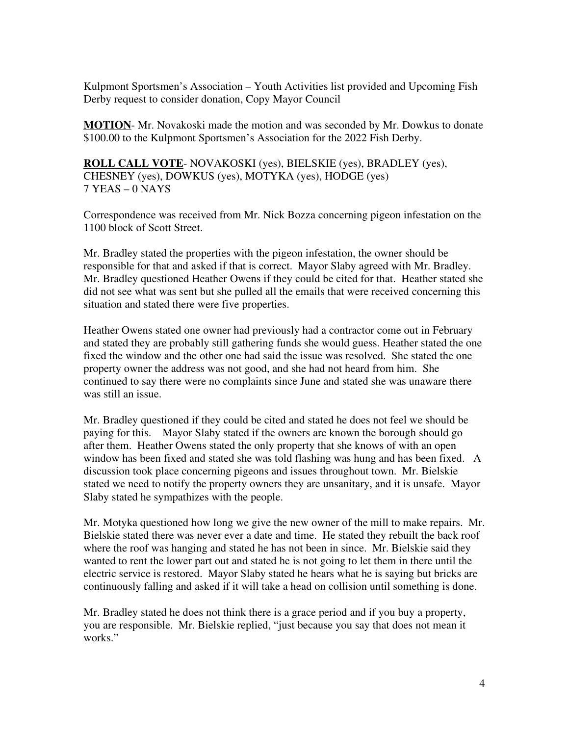Kulpmont Sportsmen's Association – Youth Activities list provided and Upcoming Fish Derby request to consider donation, Copy Mayor Council

**MOTION**- Mr. Novakoski made the motion and was seconded by Mr. Dowkus to donate \$100.00 to the Kulpmont Sportsmen's Association for the 2022 Fish Derby.

**ROLL CALL VOTE**- NOVAKOSKI (yes), BIELSKIE (yes), BRADLEY (yes), CHESNEY (yes), DOWKUS (yes), MOTYKA (yes), HODGE (yes) 7 YEAS – 0 NAYS

Correspondence was received from Mr. Nick Bozza concerning pigeon infestation on the 1100 block of Scott Street.

Mr. Bradley stated the properties with the pigeon infestation, the owner should be responsible for that and asked if that is correct. Mayor Slaby agreed with Mr. Bradley. Mr. Bradley questioned Heather Owens if they could be cited for that. Heather stated she did not see what was sent but she pulled all the emails that were received concerning this situation and stated there were five properties.

Heather Owens stated one owner had previously had a contractor come out in February and stated they are probably still gathering funds she would guess. Heather stated the one fixed the window and the other one had said the issue was resolved. She stated the one property owner the address was not good, and she had not heard from him. She continued to say there were no complaints since June and stated she was unaware there was still an issue.

Mr. Bradley questioned if they could be cited and stated he does not feel we should be paying for this. Mayor Slaby stated if the owners are known the borough should go after them. Heather Owens stated the only property that she knows of with an open window has been fixed and stated she was told flashing was hung and has been fixed. A discussion took place concerning pigeons and issues throughout town. Mr. Bielskie stated we need to notify the property owners they are unsanitary, and it is unsafe. Mayor Slaby stated he sympathizes with the people.

Mr. Motyka questioned how long we give the new owner of the mill to make repairs. Mr. Bielskie stated there was never ever a date and time. He stated they rebuilt the back roof where the roof was hanging and stated he has not been in since. Mr. Bielskie said they wanted to rent the lower part out and stated he is not going to let them in there until the electric service is restored. Mayor Slaby stated he hears what he is saying but bricks are continuously falling and asked if it will take a head on collision until something is done.

Mr. Bradley stated he does not think there is a grace period and if you buy a property, you are responsible. Mr. Bielskie replied, "just because you say that does not mean it works."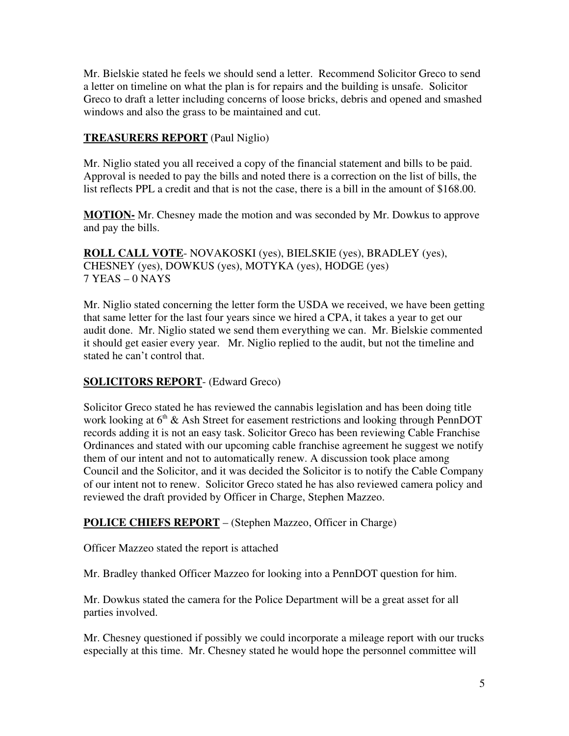Mr. Bielskie stated he feels we should send a letter. Recommend Solicitor Greco to send a letter on timeline on what the plan is for repairs and the building is unsafe. Solicitor Greco to draft a letter including concerns of loose bricks, debris and opened and smashed windows and also the grass to be maintained and cut.

### **TREASURERS REPORT** (Paul Niglio)

Mr. Niglio stated you all received a copy of the financial statement and bills to be paid. Approval is needed to pay the bills and noted there is a correction on the list of bills, the list reflects PPL a credit and that is not the case, there is a bill in the amount of \$168.00.

**MOTION-** Mr. Chesney made the motion and was seconded by Mr. Dowkus to approve and pay the bills.

**ROLL CALL VOTE**- NOVAKOSKI (yes), BIELSKIE (yes), BRADLEY (yes), CHESNEY (yes), DOWKUS (yes), MOTYKA (yes), HODGE (yes) 7 YEAS – 0 NAYS

Mr. Niglio stated concerning the letter form the USDA we received, we have been getting that same letter for the last four years since we hired a CPA, it takes a year to get our audit done. Mr. Niglio stated we send them everything we can. Mr. Bielskie commented it should get easier every year. Mr. Niglio replied to the audit, but not the timeline and stated he can't control that.

### **SOLICITORS REPORT**- (Edward Greco)

Solicitor Greco stated he has reviewed the cannabis legislation and has been doing title work looking at  $6<sup>th</sup>$  & Ash Street for easement restrictions and looking through PennDOT records adding it is not an easy task. Solicitor Greco has been reviewing Cable Franchise Ordinances and stated with our upcoming cable franchise agreement he suggest we notify them of our intent and not to automatically renew. A discussion took place among Council and the Solicitor, and it was decided the Solicitor is to notify the Cable Company of our intent not to renew. Solicitor Greco stated he has also reviewed camera policy and reviewed the draft provided by Officer in Charge, Stephen Mazzeo.

### **POLICE CHIEFS REPORT** – (Stephen Mazzeo, Officer in Charge)

Officer Mazzeo stated the report is attached

Mr. Bradley thanked Officer Mazzeo for looking into a PennDOT question for him.

Mr. Dowkus stated the camera for the Police Department will be a great asset for all parties involved.

Mr. Chesney questioned if possibly we could incorporate a mileage report with our trucks especially at this time. Mr. Chesney stated he would hope the personnel committee will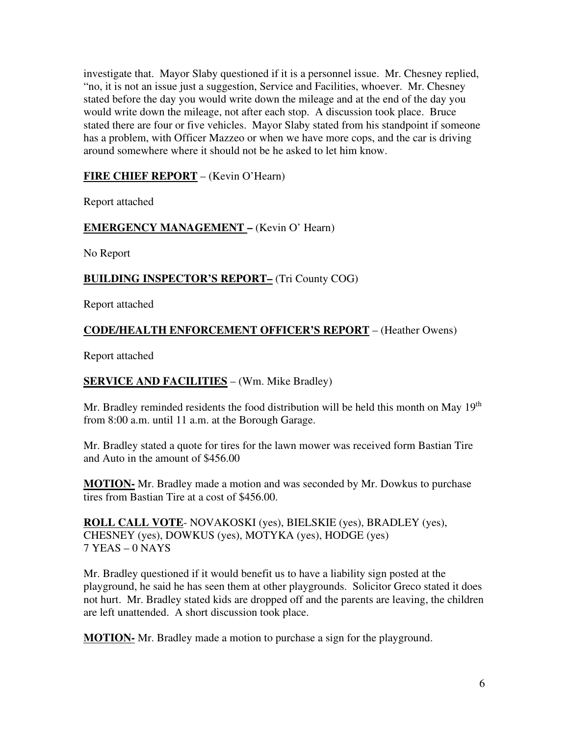investigate that. Mayor Slaby questioned if it is a personnel issue. Mr. Chesney replied, "no, it is not an issue just a suggestion, Service and Facilities, whoever. Mr. Chesney stated before the day you would write down the mileage and at the end of the day you would write down the mileage, not after each stop. A discussion took place. Bruce stated there are four or five vehicles. Mayor Slaby stated from his standpoint if someone has a problem, with Officer Mazzeo or when we have more cops, and the car is driving around somewhere where it should not be he asked to let him know.

## **FIRE CHIEF REPORT** – (Kevin O'Hearn)

Report attached

### **EMERGENCY MANAGEMENT –** (Kevin O' Hearn)

No Report

## **BUILDING INSPECTOR'S REPORT–** (Tri County COG)

Report attached

## **CODE/HEALTH ENFORCEMENT OFFICER'S REPORT** – (Heather Owens)

Report attached

### **SERVICE AND FACILITIES** – (Wm. Mike Bradley)

Mr. Bradley reminded residents the food distribution will be held this month on May  $19<sup>th</sup>$ from 8:00 a.m. until 11 a.m. at the Borough Garage.

Mr. Bradley stated a quote for tires for the lawn mower was received form Bastian Tire and Auto in the amount of \$456.00

**MOTION-** Mr. Bradley made a motion and was seconded by Mr. Dowkus to purchase tires from Bastian Tire at a cost of \$456.00.

**ROLL CALL VOTE**- NOVAKOSKI (yes), BIELSKIE (yes), BRADLEY (yes), CHESNEY (yes), DOWKUS (yes), MOTYKA (yes), HODGE (yes) 7 YEAS – 0 NAYS

Mr. Bradley questioned if it would benefit us to have a liability sign posted at the playground, he said he has seen them at other playgrounds. Solicitor Greco stated it does not hurt. Mr. Bradley stated kids are dropped off and the parents are leaving, the children are left unattended. A short discussion took place.

**MOTION-** Mr. Bradley made a motion to purchase a sign for the playground.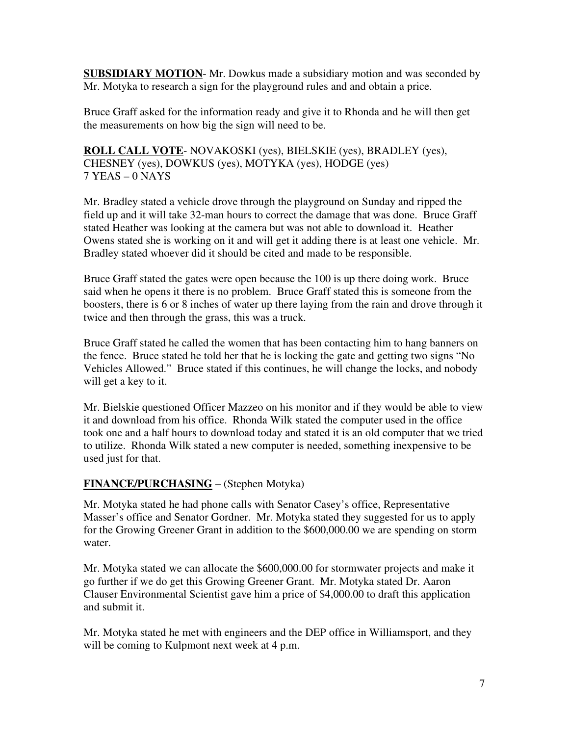**SUBSIDIARY MOTION**- Mr. Dowkus made a subsidiary motion and was seconded by Mr. Motyka to research a sign for the playground rules and and obtain a price.

Bruce Graff asked for the information ready and give it to Rhonda and he will then get the measurements on how big the sign will need to be.

**ROLL CALL VOTE**- NOVAKOSKI (yes), BIELSKIE (yes), BRADLEY (yes), CHESNEY (yes), DOWKUS (yes), MOTYKA (yes), HODGE (yes) 7 YEAS – 0 NAYS

Mr. Bradley stated a vehicle drove through the playground on Sunday and ripped the field up and it will take 32-man hours to correct the damage that was done. Bruce Graff stated Heather was looking at the camera but was not able to download it. Heather Owens stated she is working on it and will get it adding there is at least one vehicle. Mr. Bradley stated whoever did it should be cited and made to be responsible.

Bruce Graff stated the gates were open because the 100 is up there doing work. Bruce said when he opens it there is no problem. Bruce Graff stated this is someone from the boosters, there is 6 or 8 inches of water up there laying from the rain and drove through it twice and then through the grass, this was a truck.

Bruce Graff stated he called the women that has been contacting him to hang banners on the fence. Bruce stated he told her that he is locking the gate and getting two signs "No Vehicles Allowed." Bruce stated if this continues, he will change the locks, and nobody will get a key to it.

Mr. Bielskie questioned Officer Mazzeo on his monitor and if they would be able to view it and download from his office. Rhonda Wilk stated the computer used in the office took one and a half hours to download today and stated it is an old computer that we tried to utilize. Rhonda Wilk stated a new computer is needed, something inexpensive to be used just for that.

# **FINANCE/PURCHASING** – (Stephen Motyka)

Mr. Motyka stated he had phone calls with Senator Casey's office, Representative Masser's office and Senator Gordner. Mr. Motyka stated they suggested for us to apply for the Growing Greener Grant in addition to the \$600,000.00 we are spending on storm water.

Mr. Motyka stated we can allocate the \$600,000.00 for stormwater projects and make it go further if we do get this Growing Greener Grant. Mr. Motyka stated Dr. Aaron Clauser Environmental Scientist gave him a price of \$4,000.00 to draft this application and submit it.

Mr. Motyka stated he met with engineers and the DEP office in Williamsport, and they will be coming to Kulpmont next week at 4 p.m.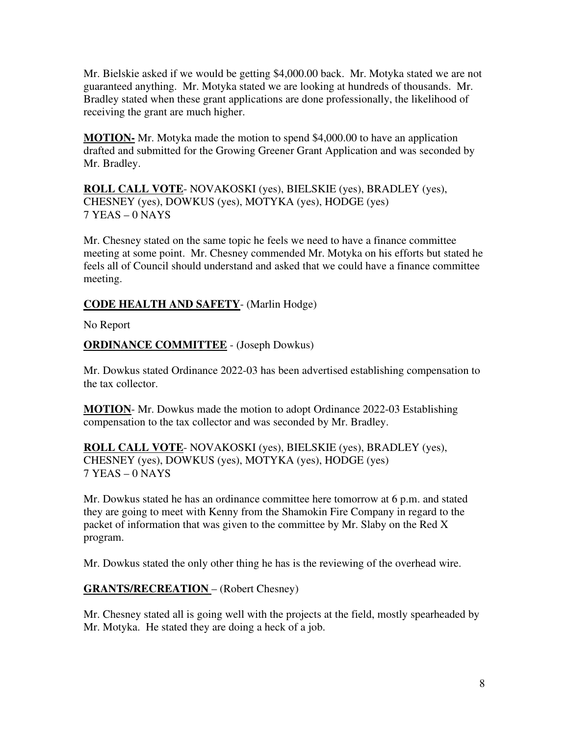Mr. Bielskie asked if we would be getting \$4,000.00 back. Mr. Motyka stated we are not guaranteed anything. Mr. Motyka stated we are looking at hundreds of thousands. Mr. Bradley stated when these grant applications are done professionally, the likelihood of receiving the grant are much higher.

**MOTION-** Mr. Motyka made the motion to spend \$4,000.00 to have an application drafted and submitted for the Growing Greener Grant Application and was seconded by Mr. Bradley.

**ROLL CALL VOTE**- NOVAKOSKI (yes), BIELSKIE (yes), BRADLEY (yes), CHESNEY (yes), DOWKUS (yes), MOTYKA (yes), HODGE (yes) 7 YEAS – 0 NAYS

Mr. Chesney stated on the same topic he feels we need to have a finance committee meeting at some point. Mr. Chesney commended Mr. Motyka on his efforts but stated he feels all of Council should understand and asked that we could have a finance committee meeting.

## **CODE HEALTH AND SAFETY**- (Marlin Hodge)

No Report

## **ORDINANCE COMMITTEE** - (Joseph Dowkus)

Mr. Dowkus stated Ordinance 2022-03 has been advertised establishing compensation to the tax collector.

**MOTION**- Mr. Dowkus made the motion to adopt Ordinance 2022-03 Establishing compensation to the tax collector and was seconded by Mr. Bradley.

**ROLL CALL VOTE**- NOVAKOSKI (yes), BIELSKIE (yes), BRADLEY (yes), CHESNEY (yes), DOWKUS (yes), MOTYKA (yes), HODGE (yes) 7 YEAS – 0 NAYS

Mr. Dowkus stated he has an ordinance committee here tomorrow at 6 p.m. and stated they are going to meet with Kenny from the Shamokin Fire Company in regard to the packet of information that was given to the committee by Mr. Slaby on the Red X program.

Mr. Dowkus stated the only other thing he has is the reviewing of the overhead wire.

### **GRANTS/RECREATION** – (Robert Chesney)

Mr. Chesney stated all is going well with the projects at the field, mostly spearheaded by Mr. Motyka. He stated they are doing a heck of a job.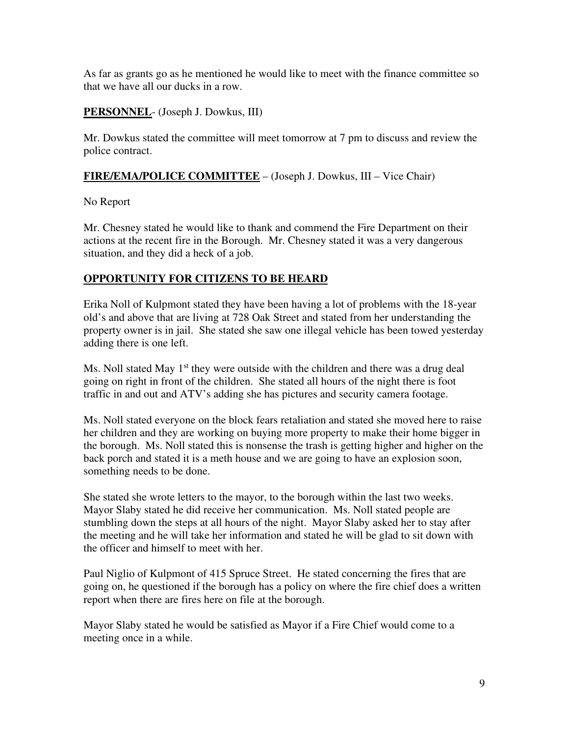As far as grants go as he mentioned he would like to meet with the finance committee so that we have all our ducks in a row.

### **PERSONNEL**- (Joseph J. Dowkus, III)

Mr. Dowkus stated the committee will meet tomorrow at 7 pm to discuss and review the police contract.

### **FIRE/EMA/POLICE COMMITTEE** – (Joseph J. Dowkus, III – Vice Chair)

No Report

Mr. Chesney stated he would like to thank and commend the Fire Department on their actions at the recent fire in the Borough. Mr. Chesney stated it was a very dangerous situation, and they did a heck of a job.

## **OPPORTUNITY FOR CITIZENS TO BE HEARD**

Erika Noll of Kulpmont stated they have been having a lot of problems with the 18-year old's and above that are living at 728 Oak Street and stated from her understanding the property owner is in jail. She stated she saw one illegal vehicle has been towed yesterday adding there is one left.

Ms. Noll stated May  $1<sup>st</sup>$  they were outside with the children and there was a drug deal going on right in front of the children. She stated all hours of the night there is foot traffic in and out and ATV's adding she has pictures and security camera footage.

Ms. Noll stated everyone on the block fears retaliation and stated she moved here to raise her children and they are working on buying more property to make their home bigger in the borough. Ms. Noll stated this is nonsense the trash is getting higher and higher on the back porch and stated it is a meth house and we are going to have an explosion soon, something needs to be done.

She stated she wrote letters to the mayor, to the borough within the last two weeks. Mayor Slaby stated he did receive her communication. Ms. Noll stated people are stumbling down the steps at all hours of the night. Mayor Slaby asked her to stay after the meeting and he will take her information and stated he will be glad to sit down with the officer and himself to meet with her.

Paul Niglio of Kulpmont of 415 Spruce Street. He stated concerning the fires that are going on, he questioned if the borough has a policy on where the fire chief does a written report when there are fires here on file at the borough.

Mayor Slaby stated he would be satisfied as Mayor if a Fire Chief would come to a meeting once in a while.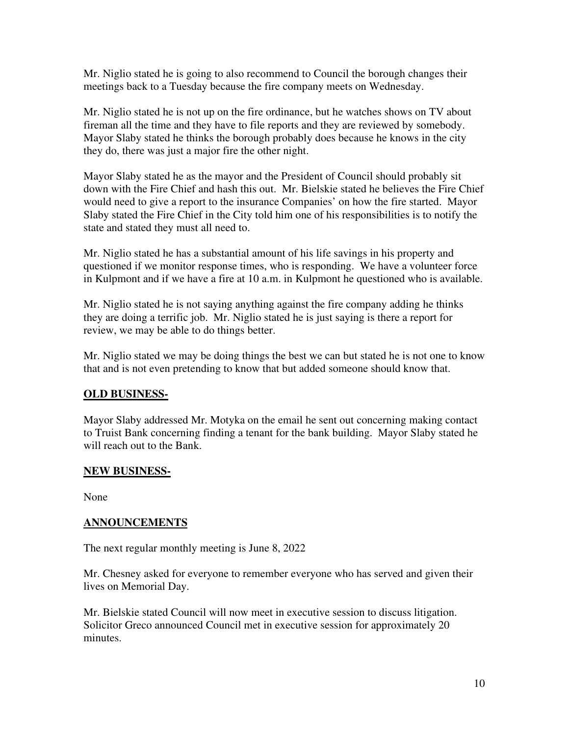Mr. Niglio stated he is going to also recommend to Council the borough changes their meetings back to a Tuesday because the fire company meets on Wednesday.

Mr. Niglio stated he is not up on the fire ordinance, but he watches shows on TV about fireman all the time and they have to file reports and they are reviewed by somebody. Mayor Slaby stated he thinks the borough probably does because he knows in the city they do, there was just a major fire the other night.

Mayor Slaby stated he as the mayor and the President of Council should probably sit down with the Fire Chief and hash this out. Mr. Bielskie stated he believes the Fire Chief would need to give a report to the insurance Companies' on how the fire started. Mayor Slaby stated the Fire Chief in the City told him one of his responsibilities is to notify the state and stated they must all need to.

Mr. Niglio stated he has a substantial amount of his life savings in his property and questioned if we monitor response times, who is responding. We have a volunteer force in Kulpmont and if we have a fire at 10 a.m. in Kulpmont he questioned who is available.

Mr. Niglio stated he is not saying anything against the fire company adding he thinks they are doing a terrific job. Mr. Niglio stated he is just saying is there a report for review, we may be able to do things better.

Mr. Niglio stated we may be doing things the best we can but stated he is not one to know that and is not even pretending to know that but added someone should know that.

### **OLD BUSINESS-**

Mayor Slaby addressed Mr. Motyka on the email he sent out concerning making contact to Truist Bank concerning finding a tenant for the bank building. Mayor Slaby stated he will reach out to the Bank.

### **NEW BUSINESS-**

None

### **ANNOUNCEMENTS**

The next regular monthly meeting is June 8, 2022

Mr. Chesney asked for everyone to remember everyone who has served and given their lives on Memorial Day.

Mr. Bielskie stated Council will now meet in executive session to discuss litigation. Solicitor Greco announced Council met in executive session for approximately 20 minutes.